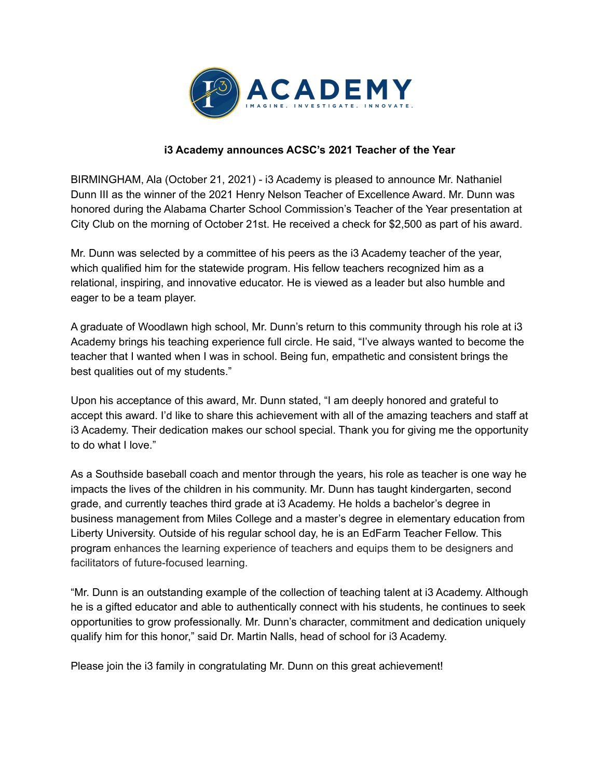

## **i3 Academy announces ACSC's 2021 Teacher of the Year**

BIRMINGHAM, Ala (October 21, 2021) - i3 Academy is pleased to announce Mr. Nathaniel Dunn III as the winner of the 2021 Henry Nelson Teacher of Excellence Award. Mr. Dunn was honored during the Alabama Charter School Commission's Teacher of the Year presentation at City Club on the morning of October 21st. He received a check for \$2,500 as part of his award.

Mr. Dunn was selected by a committee of his peers as the i3 Academy teacher of the year, which qualified him for the statewide program. His fellow teachers recognized him as a relational, inspiring, and innovative educator. He is viewed as a leader but also humble and eager to be a team player.

A graduate of Woodlawn high school, Mr. Dunn's return to this community through his role at i3 Academy brings his teaching experience full circle. He said, "I've always wanted to become the teacher that I wanted when I was in school. Being fun, empathetic and consistent brings the best qualities out of my students."

Upon his acceptance of this award, Mr. Dunn stated, "I am deeply honored and grateful to accept this award. I'd like to share this achievement with all of the amazing teachers and staff at i3 Academy. Their dedication makes our school special. Thank you for giving me the opportunity to do what I love."

As a Southside baseball coach and mentor through the years, his role as teacher is one way he impacts the lives of the children in his community. Mr. Dunn has taught kindergarten, second grade, and currently teaches third grade at i3 Academy. He holds a bachelor's degree in business management from Miles College and a master's degree in elementary education from Liberty University. Outside of his regular school day, he is an EdFarm Teacher Fellow. This program enhances the learning experience of teachers and equips them to be designers and facilitators of future-focused learning.

"Mr. Dunn is an outstanding example of the collection of teaching talent at i3 Academy. Although he is a gifted educator and able to authentically connect with his students, he continues to seek opportunities to grow professionally. Mr. Dunn's character, commitment and dedication uniquely qualify him for this honor," said Dr. Martin Nalls, head of school for i3 Academy.

Please join the i3 family in congratulating Mr. Dunn on this great achievement!